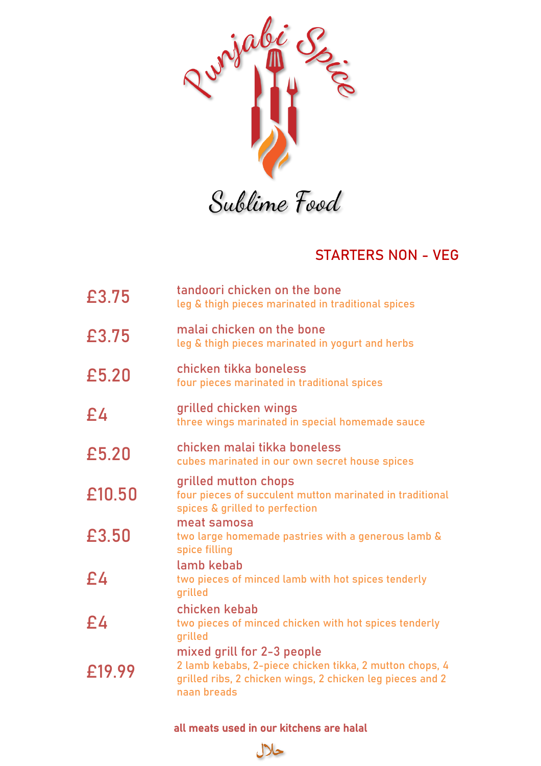

## STARTERS NON - VEG

| £3.75  | tandoori chicken on the bone<br>leg & thigh pieces marinated in traditional spices                                                                                |
|--------|-------------------------------------------------------------------------------------------------------------------------------------------------------------------|
| £3.75  | malai chicken on the bone<br>leg & thigh pieces marinated in yogurt and herbs                                                                                     |
| £5.20  | chicken tikka boneless<br>four pieces marinated in traditional spices                                                                                             |
| £4     | grilled chicken wings<br>three wings marinated in special homemade sauce                                                                                          |
| £5.20  | chicken malai tikka boneless<br>cubes marinated in our own secret house spices                                                                                    |
| £10.50 | grilled mutton chops<br>four pieces of succulent mutton marinated in traditional<br>spices & grilled to perfection                                                |
| £3.50  | meat samosa<br>two large homemade pastries with a generous lamb &<br>spice filling                                                                                |
| £4     | lamb kebab<br>two pieces of minced lamb with hot spices tenderly<br>grilled                                                                                       |
| £4     | chicken kebab<br>two pieces of minced chicken with hot spices tenderly<br>grilled                                                                                 |
| £19.99 | mixed grill for 2-3 people<br>2 lamb kebabs, 2-piece chicken tikka, 2 mutton chops, 4<br>grilled ribs, 2 chicken wings, 2 chicken leg pieces and 2<br>naan breads |

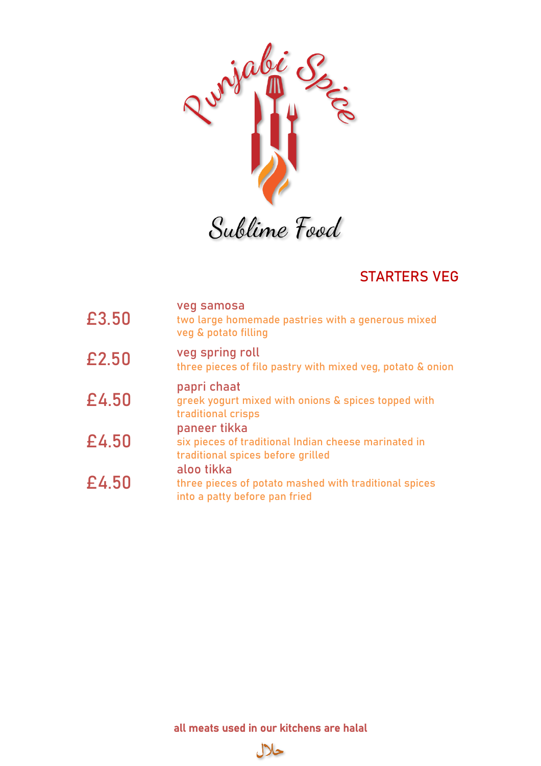

Sublime Food

# STARTERS VEG

| £3.50 | veg samosa<br>two large homemade pastries with a generous mixed<br>veg & potato filling                                                                                                                           |
|-------|-------------------------------------------------------------------------------------------------------------------------------------------------------------------------------------------------------------------|
| £2.50 | veg spring roll<br>three pieces of filo pastry with mixed veg, potato & onion                                                                                                                                     |
| £4.50 | papri chaat<br>greek yogurt mixed with onions & spices topped with<br>traditional crisps                                                                                                                          |
| £4.50 | paneer tikka<br>six pieces of traditional Indian cheese marinated in<br>traditional spices before grilled<br>aloo tikka<br>three pieces of potato mashed with traditional spices<br>into a patty before pan fried |
| £4.50 |                                                                                                                                                                                                                   |

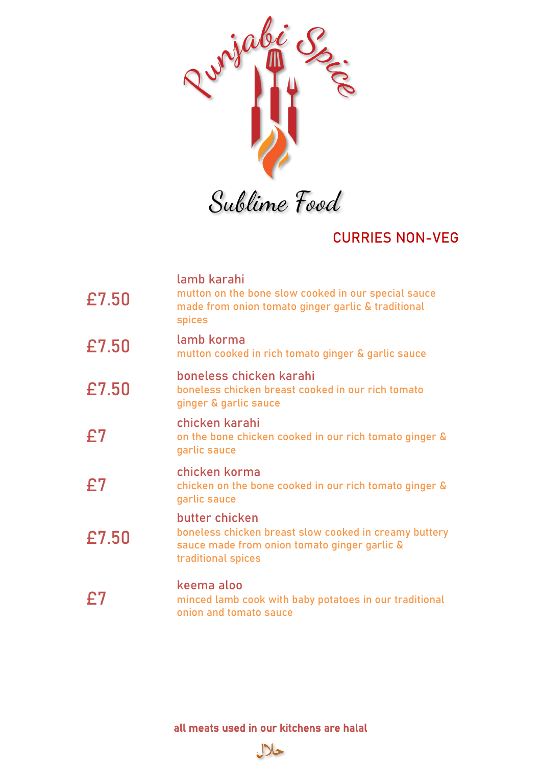

## CURRIES NON-VEG

| £7.50 | lamb karahi<br>mutton on the bone slow cooked in our special sauce<br>made from onion tomato ginger garlic & traditional<br><b>spices</b>     |
|-------|-----------------------------------------------------------------------------------------------------------------------------------------------|
| £7.50 | lamb korma<br>mutton cooked in rich tomato ginger & garlic sauce                                                                              |
| £7.50 | boneless chicken karahi<br>boneless chicken breast cooked in our rich tomato<br>ginger & garlic sauce                                         |
| £7    | chicken karahi<br>on the bone chicken cooked in our rich tomato ginger &<br>garlic sauce                                                      |
| £7    | chicken korma<br>chicken on the bone cooked in our rich tomato ginger &<br>garlic sauce                                                       |
| £7.50 | butter chicken<br>boneless chicken breast slow cooked in creamy buttery<br>sauce made from onion tomato ginger garlic &<br>traditional spices |
| £7    | keema aloo<br>minced lamb cook with baby potatoes in our traditional<br>onion and tomato sauce                                                |

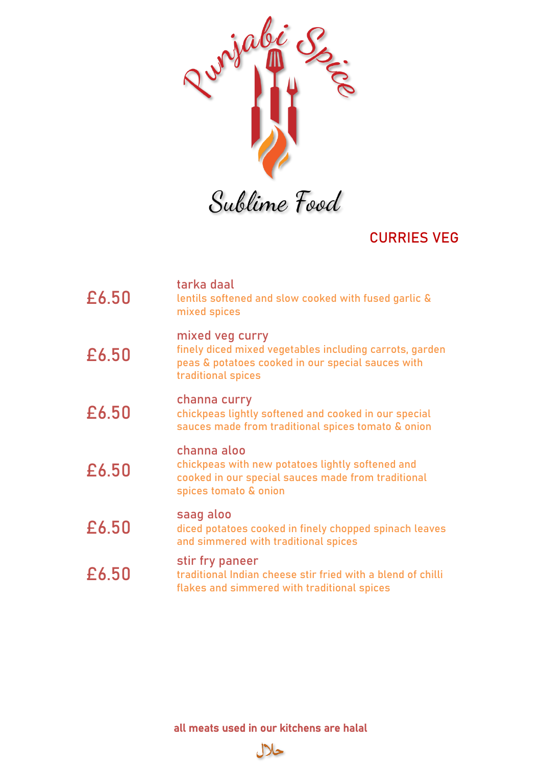

#### CURRIES VEG

| £6.50 | tarka daal<br>lentils softened and slow cooked with fused garlic &<br>mixed spices                                                                    |
|-------|-------------------------------------------------------------------------------------------------------------------------------------------------------|
| £6.50 | mixed veg curry<br>finely diced mixed vegetables including carrots, garden<br>peas & potatoes cooked in our special sauces with<br>traditional spices |
| £6.50 | channa curry<br>chickpeas lightly softened and cooked in our special<br>sauces made from traditional spices tomato & onion                            |
| £6.50 | channa aloo<br>chickpeas with new potatoes lightly softened and<br>cooked in our special sauces made from traditional<br>spices tomato & onion        |
| £6.50 | saag aloo<br>diced potatoes cooked in finely chopped spinach leaves<br>and simmered with traditional spices                                           |
| £6.50 | stir fry paneer<br>traditional Indian cheese stir fried with a blend of chilli<br>flakes and simmered with traditional spices                         |

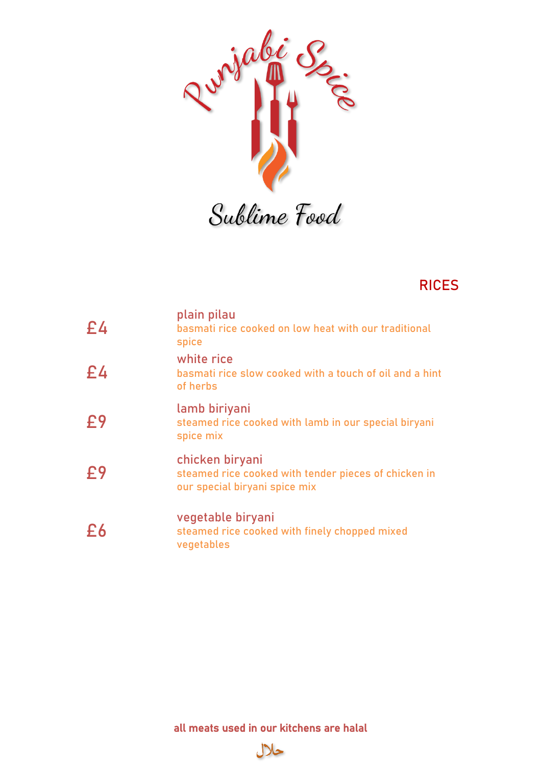

#### RICES

| E4 | plain pilau<br>basmati rice cooked on low heat with our traditional<br>spice                             |
|----|----------------------------------------------------------------------------------------------------------|
| £4 | white rice<br>basmati rice slow cooked with a touch of oil and a hint<br>of herbs                        |
| £9 | lamb biriyani<br>steamed rice cooked with lamb in our special biryani<br>spice mix                       |
| £9 | chicken biryani<br>steamed rice cooked with tender pieces of chicken in<br>our special biryani spice mix |
| £6 | vegetable biryani<br>steamed rice cooked with finely chopped mixed<br>vegetables                         |

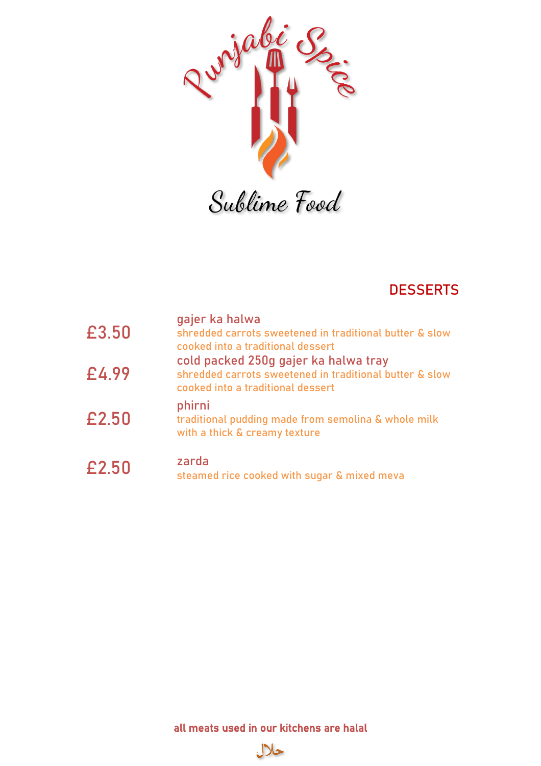

## **DESSERTS**

| £3,50 | gajer ka halwa<br>shredded carrots sweetened in traditional butter & slow<br>cooked into a traditional dessert                       |
|-------|--------------------------------------------------------------------------------------------------------------------------------------|
| £4.99 | cold packed 250g gajer ka halwa tray<br>shredded carrots sweetened in traditional butter & slow<br>cooked into a traditional dessert |
| £2.50 | phirni<br>traditional pudding made from semolina & whole milk<br>with a thick & creamy texture                                       |
| £2.50 | zarda<br>steamed rice cooked with sugar & mixed meva                                                                                 |

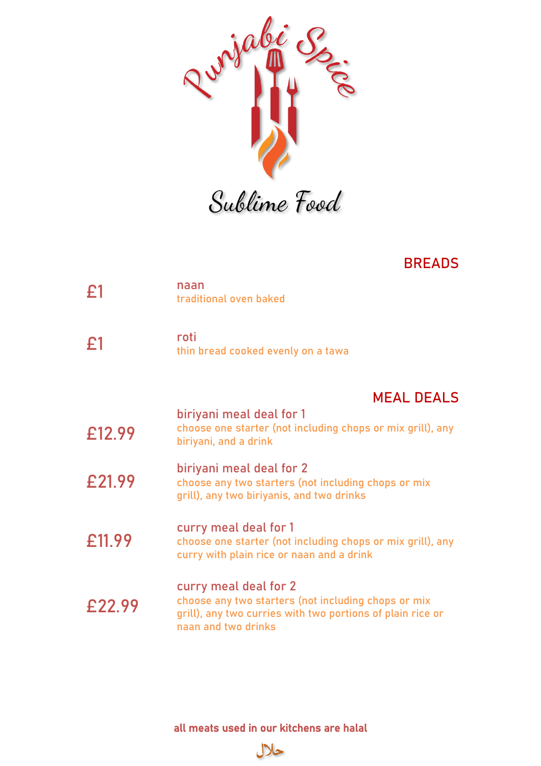

#### BREADS

| E1     | naan<br>traditional oven baked                                                                                                                                    |
|--------|-------------------------------------------------------------------------------------------------------------------------------------------------------------------|
| £1     | roti<br>thin bread cooked evenly on a tawa                                                                                                                        |
|        | <b>MEAL DEALS</b>                                                                                                                                                 |
| £12.99 | biriyani meal deal for 1<br>choose one starter (not including chops or mix grill), any<br>biriyani, and a drink                                                   |
| £21.99 | biriyani meal deal for 2<br>choose any two starters (not including chops or mix<br>grill), any two biriyanis, and two drinks                                      |
| £11.99 | curry meal deal for 1<br>choose one starter (not including chops or mix grill), any<br>curry with plain rice or naan and a drink                                  |
| £22.99 | curry meal deal for 2<br>choose any two starters (not including chops or mix<br>grill), any two curries with two portions of plain rice or<br>naan and two drinks |